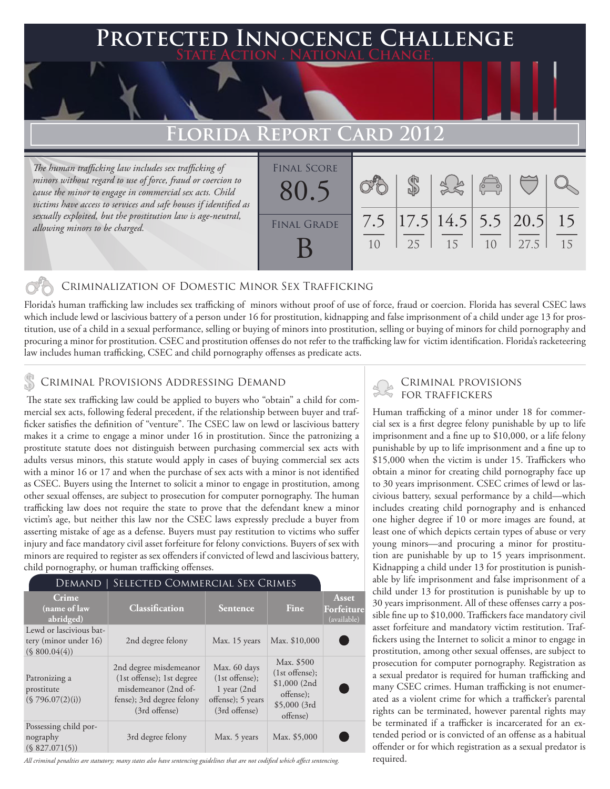# **PTED INNOCENCE CHALLENGE State Action . National Change. Florida Report Card 2012** *The human trafficking law includes sex trafficking of*  Final Score

*minors without regard to use of force, fraud or coercion to cause the minor to engage in commercial sex acts. Child victims have access to services and safe houses if identified as sexually exploited, but the prostitution law is age-neutral, allowing minors to be charged.*

| <b>FINAL SCORE</b><br>80.5 |           |    |                                                            | $\begin{array}{c}\n\circ \\ \circ\n\end{array}$ |      |          |
|----------------------------|-----------|----|------------------------------------------------------------|-------------------------------------------------|------|----------|
| <b>FINAL GRADE</b>         | 7.5<br>10 | 25 | $\left  17.5 \right  14.5$ 5.5 $\left  20.5 \right $<br>15 | 1 <sub>0</sub>                                  | 27.5 | 15<br>15 |

### Criminalization of Domestic Minor Sex Trafficking

Florida's human trafficking law includes sex trafficking of minors without proof of use of force, fraud or coercion. Florida has several CSEC laws which include lewd or lascivious battery of a person under 16 for prostitution, kidnapping and false imprisonment of a child under age 13 for prostitution, use of a child in a sexual performance, selling or buying of minors into prostitution, selling or buying of minors for child pornography and procuring a minor for prostitution. CSEC and prostitution offenses do not refer to the trafficking law for victim identification. Florida's racketeering law includes human trafficking, CSEC and child pornography offenses as predicate acts.

## CRIMINAL PROVISIONS ADDRESSING DEMAND

 The state sex trafficking law could be applied to buyers who "obtain" a child for commercial sex acts, following federal precedent, if the relationship between buyer and trafficker satisfies the definition of "venture". The CSEC law on lewd or lascivious battery makes it a crime to engage a minor under 16 in prostitution. Since the patronizing a prostitute statute does not distinguish between purchasing commercial sex acts with adults versus minors, this statute would apply in cases of buying commercial sex acts with a minor 16 or 17 and when the purchase of sex acts with a minor is not identified as CSEC. Buyers using the Internet to solicit a minor to engage in prostitution, among other sexual offenses, are subject to prosecution for computer pornography. The human trafficking law does not require the state to prove that the defendant knew a minor victim's age, but neither this law nor the CSEC laws expressly preclude a buyer from asserting mistake of age as a defense. Buyers must pay restitution to victims who suffer injury and face mandatory civil asset forfeiture for felony convictions. Buyers of sex with minors are required to register as sex offenders if convicted of lewd and lascivious battery, child pornography, or human trafficking offenses.

| Demand                                                            | SELECTED COMMERCIAL SEX CRIMES                                                                                            |                                                                                           |                                                                                          |                                           |
|-------------------------------------------------------------------|---------------------------------------------------------------------------------------------------------------------------|-------------------------------------------------------------------------------------------|------------------------------------------------------------------------------------------|-------------------------------------------|
| <b>Crime</b><br>$\sqrt{\mathbf{n}}$ ame of law<br>abridged)       | Classification                                                                                                            | <b>Sentence</b>                                                                           | Fine                                                                                     | <b>Asset</b><br>Forfeiture<br>(available) |
| Lewd or lascivious bat-<br>tery (minor under 16)<br>(S 800.04(4)) | 2nd degree felony                                                                                                         | Max. 15 years                                                                             | Max. \$10,000                                                                            |                                           |
| Patronizing a<br>prostitute<br>(\$796.07(2)(i))                   | 2nd degree misdemeanor<br>(1st offense); 1st degree<br>misdemeanor (2nd of-<br>fense); 3rd degree felony<br>(3rd offense) | Max. 60 days<br>$(1st$ offense);<br>$1$ year $(2nd$<br>offense); 5 years<br>(3rd offense) | Max. \$500<br>$(1st$ offense);<br>$$1,000$ (2nd<br>offense);<br>\$5,000(3rd)<br>offense) |                                           |
| Possessing child por-<br>nography<br>(S 827.071(5))               | 3rd degree felony                                                                                                         | Max. 5 years                                                                              | Max. \$5,000                                                                             |                                           |

*All criminal penalties are statutory; many states also have sentencing guidelines that are not codified which affect sentencing.* 

#### Criminal provisions for traffickers

Human trafficking of a minor under 18 for commercial sex is a first degree felony punishable by up to life imprisonment and a fine up to \$10,000, or a life felony punishable by up to life imprisonment and a fine up to \$15,000 when the victim is under 15. Traffickers who obtain a minor for creating child pornography face up to 30 years imprisonment. CSEC crimes of lewd or lascivious battery, sexual performance by a child—which includes creating child pornography and is enhanced one higher degree if 10 or more images are found, at least one of which depicts certain types of abuse or very young minors—and procuring a minor for prostitution are punishable by up to 15 years imprisonment. Kidnapping a child under 13 for prostitution is punishable by life imprisonment and false imprisonment of a child under 13 for prostitution is punishable by up to 30 years imprisonment. All of these offenses carry a possible fine up to \$10,000. Traffickers face mandatory civil asset forfeiture and mandatory victim restitution. Traffickers using the Internet to solicit a minor to engage in prostitution, among other sexual offenses, are subject to prosecution for computer pornography. Registration as a sexual predator is required for human trafficking and many CSEC crimes. Human trafficking is not enumerated as a violent crime for which a trafficker's parental rights can be terminated, however parental rights may be terminated if a trafficker is incarcerated for an extended period or is convicted of an offense as a habitual offender or for which registration as a sexual predator is required.